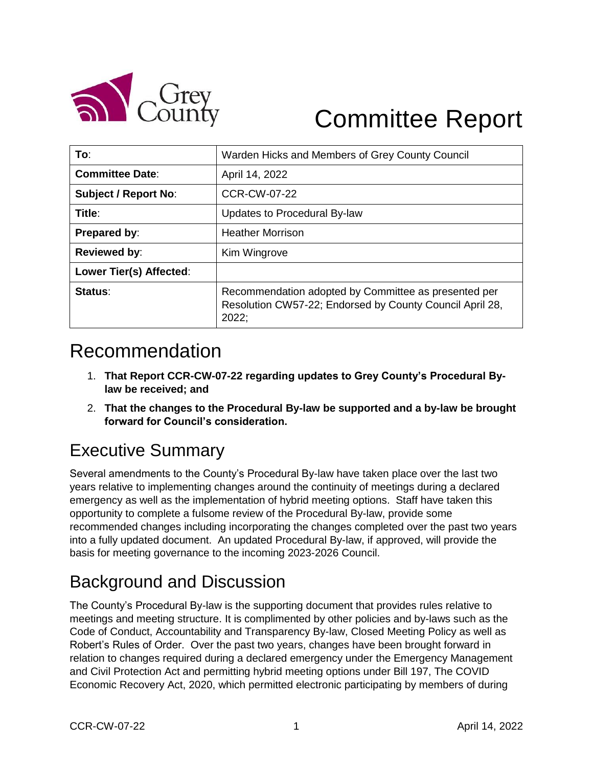

# Committee Report

| To:                         | Warden Hicks and Members of Grey County Council                                                                           |
|-----------------------------|---------------------------------------------------------------------------------------------------------------------------|
| <b>Committee Date:</b>      | April 14, 2022                                                                                                            |
| <b>Subject / Report No:</b> | <b>CCR-CW-07-22</b>                                                                                                       |
| Title:                      | Updates to Procedural By-law                                                                                              |
| Prepared by:                | <b>Heather Morrison</b>                                                                                                   |
| <b>Reviewed by:</b>         | Kim Wingrove                                                                                                              |
| Lower Tier(s) Affected:     |                                                                                                                           |
| Status:                     | Recommendation adopted by Committee as presented per<br>Resolution CW57-22; Endorsed by County Council April 28,<br>2022; |

# Recommendation

- 1. **That Report CCR-CW-07-22 regarding updates to Grey County's Procedural Bylaw be received; and**
- 2. **That the changes to the Procedural By-law be supported and a by-law be brought forward for Council's consideration.**

# Executive Summary

Several amendments to the County's Procedural By-law have taken place over the last two years relative to implementing changes around the continuity of meetings during a declared emergency as well as the implementation of hybrid meeting options. Staff have taken this opportunity to complete a fulsome review of the Procedural By-law, provide some recommended changes including incorporating the changes completed over the past two years into a fully updated document. An updated Procedural By-law, if approved, will provide the basis for meeting governance to the incoming 2023-2026 Council.

## Background and Discussion

The County's Procedural By-law is the supporting document that provides rules relative to meetings and meeting structure. It is complimented by other policies and by-laws such as the Code of Conduct, Accountability and Transparency By-law, Closed Meeting Policy as well as Robert's Rules of Order. Over the past two years, changes have been brought forward in relation to changes required during a declared emergency under the Emergency Management and Civil Protection Act and permitting hybrid meeting options under Bill 197, The COVID Economic Recovery Act, 2020, which permitted electronic participating by members of during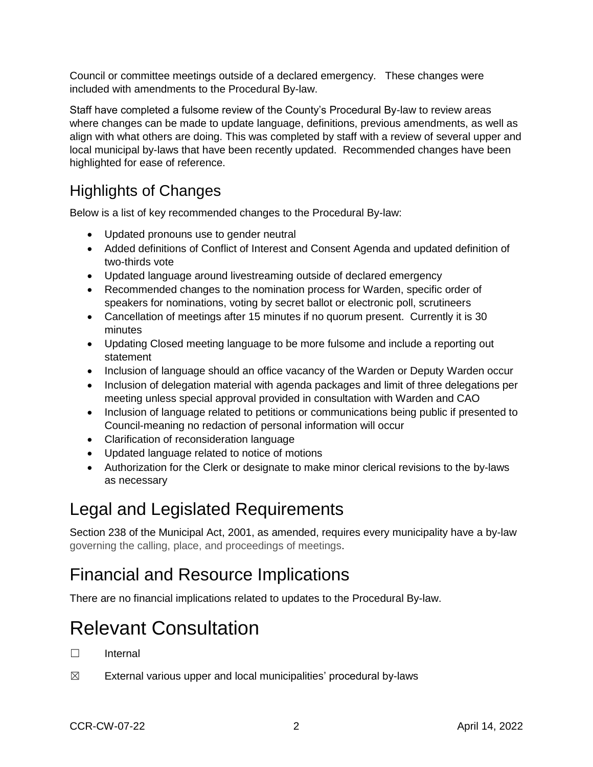Council or committee meetings outside of a declared emergency. These changes were included with amendments to the Procedural By-law.

Staff have completed a fulsome review of the County's Procedural By-law to review areas where changes can be made to update language, definitions, previous amendments, as well as align with what others are doing. This was completed by staff with a review of several upper and local municipal by-laws that have been recently updated. Recommended changes have been highlighted for ease of reference.

#### Highlights of Changes

Below is a list of key recommended changes to the Procedural By-law:

- Updated pronouns use to gender neutral
- Added definitions of Conflict of Interest and Consent Agenda and updated definition of two-thirds vote
- Updated language around livestreaming outside of declared emergency
- Recommended changes to the nomination process for Warden, specific order of speakers for nominations, voting by secret ballot or electronic poll, scrutineers
- Cancellation of meetings after 15 minutes if no quorum present. Currently it is 30 minutes
- Updating Closed meeting language to be more fulsome and include a reporting out statement
- Inclusion of language should an office vacancy of the Warden or Deputy Warden occur
- Inclusion of delegation material with agenda packages and limit of three delegations per meeting unless special approval provided in consultation with Warden and CAO
- Inclusion of language related to petitions or communications being public if presented to Council-meaning no redaction of personal information will occur
- Clarification of reconsideration language
- Updated language related to notice of motions
- Authorization for the Clerk or designate to make minor clerical revisions to the by-laws as necessary

## Legal and Legislated Requirements

Section 238 of the Municipal Act, 2001, as amended, requires every municipality have a by-law governing the calling, place, and proceedings of meetings.

## Financial and Resource Implications

There are no financial implications related to updates to the Procedural By-law.

# Relevant Consultation

- ☐ Internal
- $\boxtimes$  External various upper and local municipalities' procedural by-laws